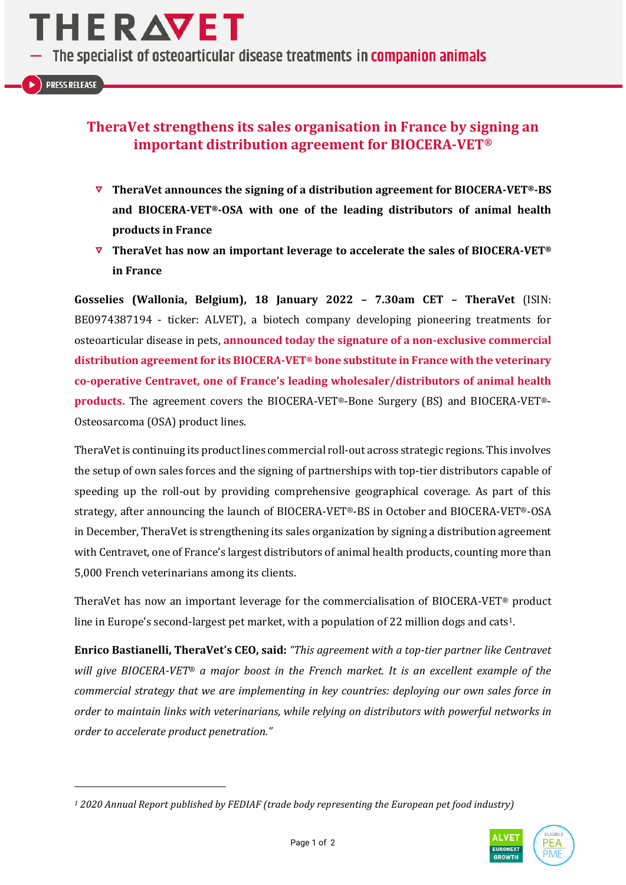The specialist of osteoarticular disease treatments in companion animals

 $\blacktriangleright$  ) PRESS RELEASE

# **TheraVet strengthens its sales organisation in France by signing an important distribution agreement for BIOCERA-VET®**

- **TheraVet announces the signing of a distribution agreement for BIOCERA-VET®-BS and BIOCERA-VET®-OSA with one of the leading distributors of animal health products in France**
- **TheraVet has now an important leverage to accelerate the sales of BIOCERA-VET® in France**

**Gosselies (Wallonia, Belgium), 18 January 2022 – 7.30am CET – TheraVet** (ISIN: BE0974387194 - ticker: ALVET), a biotech company developing pioneering treatments for osteoarticular disease in pets, **announced today the signature of a non-exclusive commercial distribution agreement for its BIOCERA-VET® bone substitute in France with the veterinary co-operative Centravet, one of France's leading wholesaler/distributors of animal health products.** The agreement covers the BIOCERA-VET®-Bone Surgery (BS) and BIOCERA-VET®- Osteosarcoma (OSA) product lines.

TheraVet is continuing its product lines commercial roll-out across strategic regions. This involves the setup of own sales forces and the signing of partnerships with top-tier distributors capable of speeding up the roll-out by providing comprehensive geographical coverage. As part of this strategy, after announcing the launch of BIOCERA-VET®-BS in October and BIOCERA-VET®-OSA in December, TheraVet is strengthening its sales organization by signing a distribution agreement with Centravet, one of France's largest distributors of animal health products, counting more than 5,000 French veterinarians among its clients.

TheraVet has now an important leverage for the commercialisation of BIOCERA-VET® product line in Europe's second-largest pet market, with a population of 22 million dogs and cats<sup>1</sup>.

**Enrico Bastianelli, TheraVet's CEO, said:** *"This agreement with a top-tier partner like Centravet will give BIOCERA-VET*® *a major boost in the French market. It is an excellent example of the commercial strategy that we are implementing in key countries: deploying our own sales force in order to maintain links with veterinarians, while relying on distributors with powerful networks in order to accelerate product penetration."*

*<sup>1</sup> 2020 Annual Report published by FEDIAF (trade body representing the European pet food industry)*